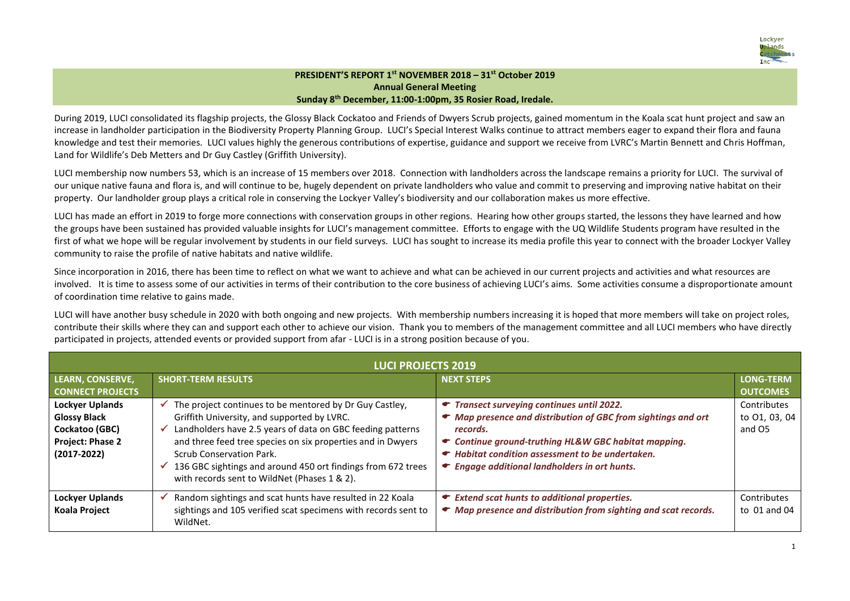

## **PRESIDENT'S REPORT 1 st NOVEMBER 2018 – 31st October 2019 Annual General Meeting Sunday 8th December, 11:00-1:00pm, 35 Rosier Road, Iredale.**

During 2019, LUCI consolidated its flagship projects, the Glossy Black Cockatoo and Friends of Dwyers Scrub projects, gained momentum in the Koala scat hunt project and saw an increase in landholder participation in the Biodiversity Property Planning Group. LUCI's Special Interest Walks continue to attract members eager to expand their flora and fauna knowledge and test their memories. LUCI values highly the generous contributions of expertise, guidance and support we receive from LVRC's Martin Bennett and Chris Hoffman, Land for Wildlife's Deb Metters and Dr Guy Castley (Griffith University).

LUCI membership now numbers 53, which is an increase of 15 members over 2018. Connection with landholders across the landscape remains a priority for LUCI. The survival of our unique native fauna and flora is, and will continue to be, hugely dependent on private landholders who value and commit to preserving and improving native habitat on their property. Our landholder group plays a critical role in conserving the Lockyer Valley's biodiversity and our collaboration makes us more effective.

LUCI has made an effort in 2019 to forge more connections with conservation groups in other regions. Hearing how other groups started, the lessons they have learned and how the groups have been sustained has provided valuable insights for LUCI's management committee. Efforts to engage with the UQ Wildlife Students program have resulted in the first of what we hope will be regular involvement by students in our field surveys. LUCI has sought to increase its media profile this year to connect with the broader Lockyer Valley community to raise the profile of native habitats and native wildlife.

Since incorporation in 2016, there has been time to reflect on what we want to achieve and what can be achieved in our current projects and activities and what resources are involved. It is time to assess some of our activities in terms of their contribution to the core business of achieving LUCI's aims. Some activities consume a disproportionate amount of coordination time relative to gains made.

LUCI will have another busy schedule in 2020 with both ongoing and new projects. With membership numbers increasing it is hoped that more members will take on project roles, contribute their skills where they can and support each other to achieve our vision. Thank you to members of the management committee and all LUCI members who have directly participated in projects, attended events or provided support from afar - LUCI is in a strong position because of you.

| <b>LUCI PROJECTS 2019</b>                                                                                     |                                                                                                                                                                                                                                                                                                                                                                                           |                                                                                                                                                                                                                                                                                                 |                                        |  |  |  |  |
|---------------------------------------------------------------------------------------------------------------|-------------------------------------------------------------------------------------------------------------------------------------------------------------------------------------------------------------------------------------------------------------------------------------------------------------------------------------------------------------------------------------------|-------------------------------------------------------------------------------------------------------------------------------------------------------------------------------------------------------------------------------------------------------------------------------------------------|----------------------------------------|--|--|--|--|
| LEARN, CONSERVE,<br><b>CONNECT PROJECTS</b>                                                                   | <b>SHORT-TERM RESULTS</b>                                                                                                                                                                                                                                                                                                                                                                 | <b>NEXT STEPS</b>                                                                                                                                                                                                                                                                               | LONG-TERM<br><b>OUTCOMES</b>           |  |  |  |  |
| <b>Lockyer Uplands</b><br><b>Glossy Black</b><br>Cockatoo (GBC)<br><b>Project: Phase 2</b><br>$(2017 - 2022)$ | The project continues to be mentored by Dr Guy Castley,<br>✔<br>Griffith University, and supported by LVRC.<br>Landholders have 2.5 years of data on GBC feeding patterns<br>✔<br>and three feed tree species on six properties and in Dwyers<br>Scrub Conservation Park.<br>136 GBC sightings and around 450 ort findings from 672 trees<br>with records sent to WildNet (Phases 1 & 2). | Transect surveying continues until 2022.<br>▾<br>• Map presence and distribution of GBC from sightings and ort<br>records.<br>← Continue ground-truthing HL&W GBC habitat mapping.<br>• Habitat condition assessment to be undertaken.<br>$\bullet$ Engage additional landholders in ort hunts. | Contributes<br>to 01, 03, 04<br>and O5 |  |  |  |  |
| <b>Lockyer Uplands</b><br><b>Koala Project</b>                                                                | Random sightings and scat hunts have resulted in 22 Koala<br>sightings and 105 verified scat specimens with records sent to<br>WildNet.                                                                                                                                                                                                                                                   | $\bullet$ Extend scat hunts to additional properties.<br>• Map presence and distribution from sighting and scat records.                                                                                                                                                                        | Contributes<br>to $01$ and $04$        |  |  |  |  |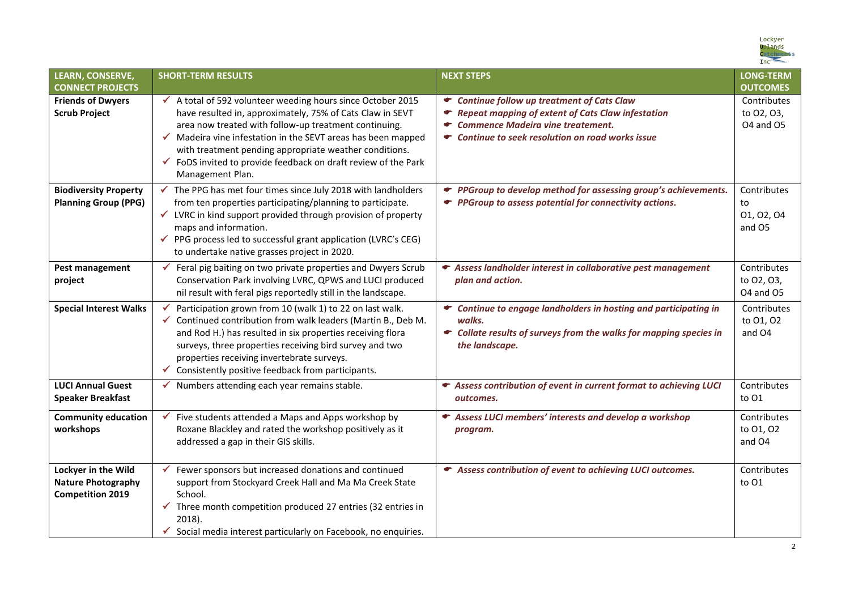

| <b>LEARN, CONSERVE,</b><br><b>CONNECT PROJECTS</b>                          | <b>SHORT-TERM RESULTS</b>                                                                                                                                                                                                                                                                                                                                                                                                  | <b>NEXT STEPS</b>                                                                                                                                                                                                   | <b>LONG-TERM</b><br><b>OUTCOMES</b>           |
|-----------------------------------------------------------------------------|----------------------------------------------------------------------------------------------------------------------------------------------------------------------------------------------------------------------------------------------------------------------------------------------------------------------------------------------------------------------------------------------------------------------------|---------------------------------------------------------------------------------------------------------------------------------------------------------------------------------------------------------------------|-----------------------------------------------|
| <b>Friends of Dwyers</b><br><b>Scrub Project</b>                            | A total of 592 volunteer weeding hours since October 2015<br>$\checkmark$<br>have resulted in, approximately, 75% of Cats Claw in SEVT<br>area now treated with follow-up treatment continuing.<br>$\checkmark$ Madeira vine infestation in the SEVT areas has been mapped<br>with treatment pending appropriate weather conditions.<br>✔ FoDS invited to provide feedback on draft review of the Park<br>Management Plan. | Continue follow up treatment of Cats Claw<br><b>Repeat mapping of extent of Cats Claw infestation</b><br>☞<br><b>Commence Madeira vine treatement.</b><br>ਵ<br>Continue to seek resolution on road works issue<br>▾ | Contributes<br>to 02, 03,<br><b>04 and 05</b> |
| <b>Biodiversity Property</b><br><b>Planning Group (PPG)</b>                 | The PPG has met four times since July 2018 with landholders<br>$\checkmark$<br>from ten properties participating/planning to participate.<br>LVRC in kind support provided through provision of property<br>$\checkmark$<br>maps and information.<br>PPG process led to successful grant application (LVRC's CEG)<br>$\checkmark$<br>to undertake native grasses project in 2020.                                          | PPGroup to develop method for assessing group's achievements.<br>← PPGroup to assess potential for connectivity actions.                                                                                            | Contributes<br>to<br>01, 02, 04<br>and O5     |
| Pest management<br>project                                                  | Feral pig baiting on two private properties and Dwyers Scrub<br>Conservation Park involving LVRC, QPWS and LUCI produced<br>nil result with feral pigs reportedly still in the landscape.                                                                                                                                                                                                                                  | ← Assess landholder interest in collaborative pest management<br>plan and action.                                                                                                                                   | Contributes<br>to 02, 03,<br>O4 and O5        |
| <b>Special Interest Walks</b>                                               | Participation grown from 10 (walk 1) to 22 on last walk.<br>✔ Continued contribution from walk leaders (Martin B., Deb M.<br>and Rod H.) has resulted in six properties receiving flora<br>surveys, three properties receiving bird survey and two<br>properties receiving invertebrate surveys.<br>Consistently positive feedback from participants.<br>$\checkmark$                                                      | Continue to engage landholders in hosting and participating in<br>walks.<br>Collate results of surveys from the walks for mapping species in<br>the landscape.                                                      | Contributes<br>to 01, 02<br>and O4            |
| <b>LUCI Annual Guest</b><br><b>Speaker Breakfast</b>                        | Numbers attending each year remains stable.<br>$\checkmark$                                                                                                                                                                                                                                                                                                                                                                | Assess contribution of event in current format to achieving LUCI<br>outcomes.                                                                                                                                       | Contributes<br>to 01                          |
| <b>Community education</b><br>workshops                                     | Five students attended a Maps and Apps workshop by<br>✔<br>Roxane Blackley and rated the workshop positively as it<br>addressed a gap in their GIS skills.                                                                                                                                                                                                                                                                 | Assess LUCI members' interests and develop a workshop<br>program.                                                                                                                                                   | Contributes<br>to 01, 02<br>and O4            |
| Lockyer in the Wild<br><b>Nature Photography</b><br><b>Competition 2019</b> | Fewer sponsors but increased donations and continued<br>support from Stockyard Creek Hall and Ma Ma Creek State<br>School.<br>Three month competition produced 27 entries (32 entries in<br>2018).<br>Social media interest particularly on Facebook, no enquiries.                                                                                                                                                        | Assess contribution of event to achieving LUCI outcomes.                                                                                                                                                            | Contributes<br>to 01                          |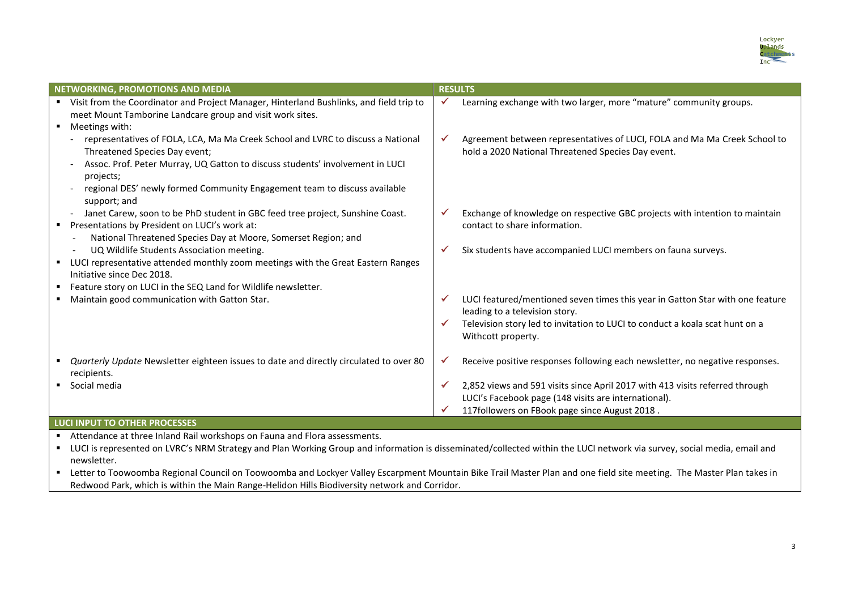

| <b>NETWORKING, PROMOTIONS AND MEDIA</b>                                                                                                                                                                                                                                                                     | <b>RESULTS</b>                                                                                                                                                                                                                  |  |  |  |
|-------------------------------------------------------------------------------------------------------------------------------------------------------------------------------------------------------------------------------------------------------------------------------------------------------------|---------------------------------------------------------------------------------------------------------------------------------------------------------------------------------------------------------------------------------|--|--|--|
| Visit from the Coordinator and Project Manager, Hinterland Bushlinks, and field trip to<br>meet Mount Tamborine Landcare group and visit work sites.<br>Meetings with:                                                                                                                                      | Learning exchange with two larger, more "mature" community groups.                                                                                                                                                              |  |  |  |
| representatives of FOLA, LCA, Ma Ma Creek School and LVRC to discuss a National<br>Threatened Species Day event;<br>Assoc. Prof. Peter Murray, UQ Gatton to discuss students' involvement in LUCI<br>projects;<br>regional DES' newly formed Community Engagement team to discuss available<br>support; and | Agreement between representatives of LUCI, FOLA and Ma Ma Creek School to<br>✔<br>hold a 2020 National Threatened Species Day event.                                                                                            |  |  |  |
| Janet Carew, soon to be PhD student in GBC feed tree project, Sunshine Coast.<br>Presentations by President on LUCI's work at:<br>National Threatened Species Day at Moore, Somerset Region; and                                                                                                            | Exchange of knowledge on respective GBC projects with intention to maintain<br>contact to share information.                                                                                                                    |  |  |  |
| UQ Wildlife Students Association meeting.<br>LUCI representative attended monthly zoom meetings with the Great Eastern Ranges<br>Initiative since Dec 2018.<br>Feature story on LUCI in the SEQ Land for Wildlife newsletter.                                                                               | Six students have accompanied LUCI members on fauna surveys.<br>✔                                                                                                                                                               |  |  |  |
| Maintain good communication with Gatton Star.                                                                                                                                                                                                                                                               | LUCI featured/mentioned seven times this year in Gatton Star with one feature<br>✔<br>leading to a television story.<br>Television story led to invitation to LUCI to conduct a koala scat hunt on a<br>✔<br>Withcott property. |  |  |  |
| Quarterly Update Newsletter eighteen issues to date and directly circulated to over 80<br>recipients.                                                                                                                                                                                                       | Receive positive responses following each newsletter, no negative responses.<br>✔                                                                                                                                               |  |  |  |
| Social media                                                                                                                                                                                                                                                                                                | 2,852 views and 591 visits since April 2017 with 413 visits referred through<br>✔<br>LUCI's Facebook page (148 visits are international).<br>117followers on FBook page since August 2018.                                      |  |  |  |
| LUCI INPUT TO OTHER PROCESSES                                                                                                                                                                                                                                                                               |                                                                                                                                                                                                                                 |  |  |  |

Attendance at three Inland Rail workshops on Fauna and Flora assessments.

■ LUCI is represented on LVRC's NRM Strategy and Plan Working Group and information is disseminated/collected within the LUCI network via survey, social media, email and newsletter.

**E** Letter to Toowoomba Regional Council on Toowoomba and Lockyer Valley Escarpment Mountain Bike Trail Master Plan and one field site meeting. The Master Plan takes in Redwood Park, which is within the Main Range-Helidon Hills Biodiversity network and Corridor.